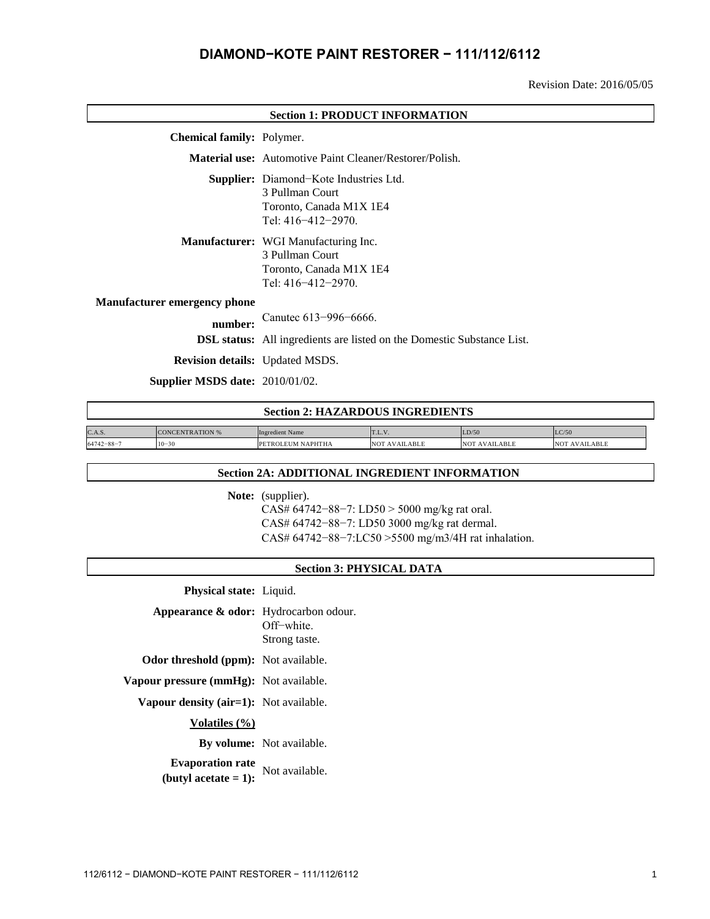# **DIAMOND−KOTE PAINT RESTORER − 111/112/6112**

Revision Date: 2016/05/05

| <b>Section 1: PRODUCT INFORMATION</b>  |                                                                                                                          |  |
|----------------------------------------|--------------------------------------------------------------------------------------------------------------------------|--|
| <b>Chemical family:</b> Polymer.       |                                                                                                                          |  |
|                                        | <b>Material use:</b> Automotive Paint Cleaner/Restorer/Polish.                                                           |  |
|                                        | <b>Supplier:</b> Diamond-Kote Industries Ltd.<br>3 Pullman Court<br>Toronto, Canada M1X 1E4<br>Tel: $416 - 412 - 2970$ . |  |
|                                        | Manufacturer: WGI Manufacturing Inc.<br>3 Pullman Court<br>Toronto, Canada M1X 1E4<br>Tel: $416 - 412 - 2970$ .          |  |
| <b>Manufacturer emergency phone</b>    |                                                                                                                          |  |
| number:                                | Canutec 613-996-6666.                                                                                                    |  |
|                                        | <b>DSL status:</b> All ingredients are listed on the Domestic Substance List.                                            |  |
| <b>Revision details:</b> Updated MSDS. |                                                                                                                          |  |
| Supplier MSDS date: $2010/01/02$ .     |                                                                                                                          |  |

| <b>Section 2: HAZARDOUS INGREDIENTS</b> |                        |                        |               |               |                      |
|-----------------------------------------|------------------------|------------------------|---------------|---------------|----------------------|
| C.A.S.                                  | <b>CONCENTRATION %</b> | <b>Ingredient Name</b> | T.L.V.        | LD/50         | LC/50                |
| $64742 - 88 - 7$                        | $10 - 30$              | PETROLEUM NAPHTHA      | NOT AVAILABLE | NOT AVAILABLE | <b>NOT AVAILABLE</b> |

#### **Section 2A: ADDITIONAL INGREDIENT INFORMATION**

Note: (supplier).

CAS# 64742−88−7: LD50 > 5000 mg/kg rat oral. CAS# 64742−88−7: LD50 3000 mg/kg rat dermal. CAS# 64742−88−7:LC50 >5500 mg/m3/4H rat inhalation.

#### **Section 3: PHYSICAL DATA**

**Physical state:** Liquid.

**Appearance & odor:** Hydrocarbon odour. Off−white.

Strong taste.

**Odor threshold (ppm):** Not available.

**Vapour pressure (mmHg):** Not available.

**Vapour density (air=1):** Not available.

**Volatiles (%)**

**By volume:** Not available.

**Evaporation rate (butyl acetate = 1):** Not available.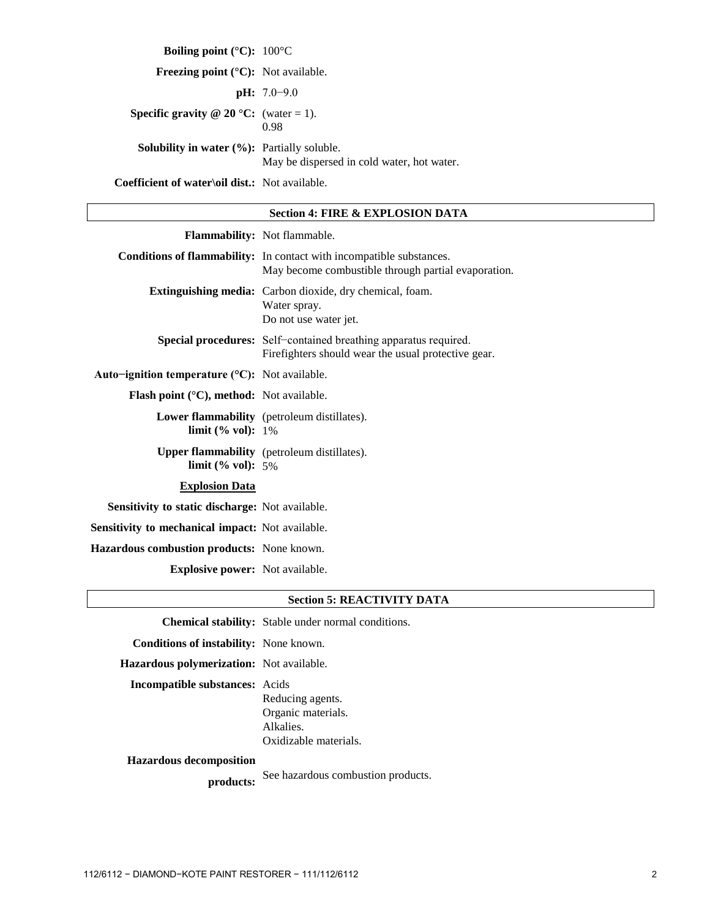**Boiling point (°C):** 100°C **Freezing point (°C):** Not available. **pH:** 7.0−9.0 **Specific gravity @ 20 °C:** (water = 1). 0.98 **Solubility in water (%):** Partially soluble. May be dispersed in cold water, hot water. **Coefficient of water\oil dist.:** Not available.

#### **Section 4: FIRE & EXPLOSION DATA**

|                                                                   | Flammability: Not flammable.                                                                                                       |
|-------------------------------------------------------------------|------------------------------------------------------------------------------------------------------------------------------------|
|                                                                   | <b>Conditions of flammability:</b> In contact with incompatible substances.<br>May become combustible through partial evaporation. |
|                                                                   | <b>Extinguishing media:</b> Carbon dioxide, dry chemical, foam.<br>Water spray.<br>Do not use water jet.                           |
|                                                                   | Special procedures: Self-contained breathing apparatus required.<br>Firefighters should wear the usual protective gear.            |
| Auto-ignition temperature $(C)$ : Not available.                  |                                                                                                                                    |
| <b>Flash point</b> ( $^{\circ}$ C), <b>method:</b> Not available. |                                                                                                                                    |
| <b>limit</b> (% vol): $1\%$                                       | Lower flammability (petroleum distillates).                                                                                        |
| limit (% vol): $5%$                                               | <b>Upper flammability</b> (petroleum distillates).                                                                                 |
| <b>Explosion Data</b>                                             |                                                                                                                                    |
| Sensitivity to static discharge: Not available.                   |                                                                                                                                    |
| <b>Sensitivity to mechanical impact:</b> Not available.           |                                                                                                                                    |
| Hazardous combustion products: None known.                        |                                                                                                                                    |
| <b>Explosive power:</b> Not available.                            |                                                                                                                                    |

### **Section 5: REACTIVITY DATA**

**Chemical stability:** Stable under normal conditions.

**Conditions of instability:** None known.

**Hazardous polymerization:** Not available.

**Incompatible substances:** Acids

Reducing agents. Organic materials. Alkalies. Oxidizable materials.

**Hazardous decomposition**

**products:** See hazardous combustion products.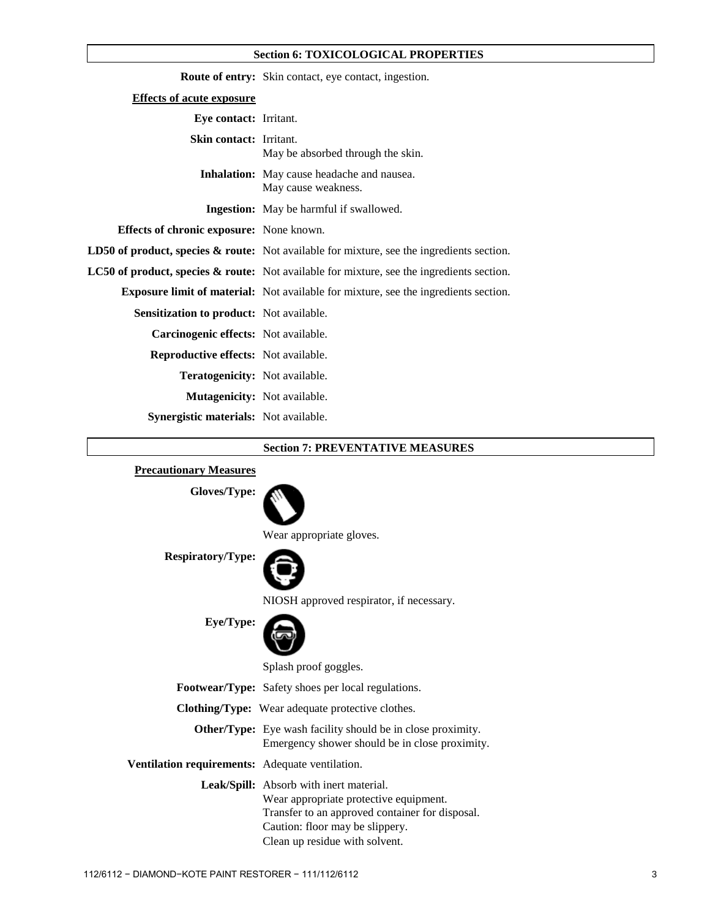#### **Section 6: TOXICOLOGICAL PROPERTIES**

|                                                 | <b>Route of entry:</b> Skin contact, eye contact, ingestion.                                         |
|-------------------------------------------------|------------------------------------------------------------------------------------------------------|
| <b>Effects of acute exposure</b>                |                                                                                                      |
| Eye contact: Irritant.                          |                                                                                                      |
| <b>Skin contact:</b> Irritant.                  | May be absorbed through the skin.                                                                    |
|                                                 | <b>Inhalation:</b> May cause headache and nausea.<br>May cause weakness.                             |
|                                                 | <b>Ingestion:</b> May be harmful if swallowed.                                                       |
| <b>Effects of chronic exposure:</b> None known. |                                                                                                      |
|                                                 | <b>LD50 of product, species &amp; route:</b> Not available for mixture, see the ingredients section. |
|                                                 | <b>LC50 of product, species &amp; route:</b> Not available for mixture, see the ingredients section. |
|                                                 | <b>Exposure limit of material:</b> Not available for mixture, see the ingredients section.           |
| <b>Sensitization to product:</b> Not available. |                                                                                                      |
| Carcinogenic effects: Not available.            |                                                                                                      |
| <b>Reproductive effects:</b> Not available.     |                                                                                                      |
| <b>Teratogenicity:</b> Not available.           |                                                                                                      |
| <b>Mutagenicity:</b> Not available.             |                                                                                                      |
| <b>Synergistic materials:</b> Not available.    |                                                                                                      |

#### **Section 7: PREVENTATIVE MEASURES**

## **Precautionary Measures**

**Gloves/Type:**



Wear appropriate gloves.

**Respiratory/Type:**



NIOSH approved respirator, if necessary.

**Eye/Type:**

Splash proof goggles.

**Footwear/Type:** Safety shoes per local regulations.

**Clothing/Type:** Wear adequate protective clothes.

| <b>Other/Type:</b> Eye wash facility should be in close proximity. |
|--------------------------------------------------------------------|
| Emergency shower should be in close proximity.                     |

### **Ventilation requirements:** Adequate ventilation.

**Leak/Spill:** Absorb with inert material. Wear appropriate protective equipment. Transfer to an approved container for disposal. Caution: floor may be slippery. Clean up residue with solvent.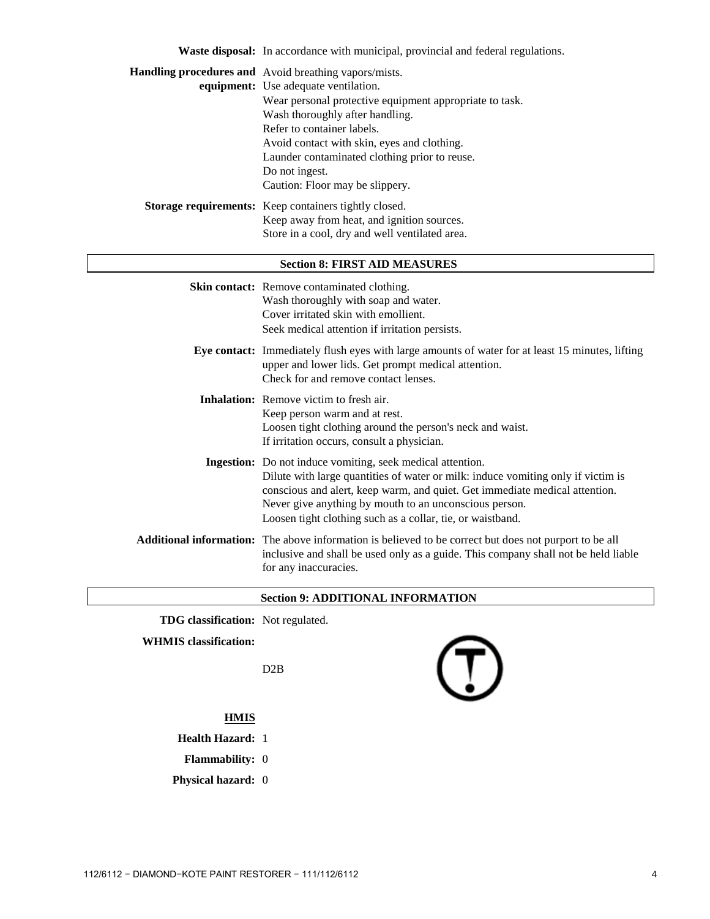| <b>Waste disposal:</b> In accordance with municipal, provincial and federal regulations. |  |
|------------------------------------------------------------------------------------------|--|
| <b>Handling procedures and</b> Avoid breathing vapors/mists.                             |  |
| <b>equipment:</b> Use adequate ventilation.                                              |  |
| Wear personal protective equipment appropriate to task.                                  |  |
| Wash thoroughly after handling.                                                          |  |
| Refer to container labels.                                                               |  |
| Avoid contact with skin, eyes and clothing.                                              |  |
| Launder contaminated clothing prior to reuse.                                            |  |
| Do not ingest.                                                                           |  |
| Caution: Floor may be slippery.                                                          |  |
| <b>Storage requirements:</b> Keep containers tightly closed.                             |  |
| Keep away from heat, and ignition sources.                                               |  |
| Store in a cool, dry and well ventilated area.                                           |  |
|                                                                                          |  |
| <b>Section 8: FIRST AID MEASURES</b>                                                     |  |
|                                                                                          |  |

| <b>Skin contact:</b> Remove contaminated clothing.<br>Wash thoroughly with soap and water.<br>Cover irritated skin with emollient.<br>Seek medical attention if irritation persists.                                                                                                                                                                  |
|-------------------------------------------------------------------------------------------------------------------------------------------------------------------------------------------------------------------------------------------------------------------------------------------------------------------------------------------------------|
| Eye contact: Immediately flush eyes with large amounts of water for at least 15 minutes, lifting<br>upper and lower lids. Get prompt medical attention.<br>Check for and remove contact lenses.                                                                                                                                                       |
| <b>Inhalation:</b> Remove victim to fresh air.<br>Keep person warm and at rest.<br>Loosen tight clothing around the person's neck and waist.<br>If irritation occurs, consult a physician.                                                                                                                                                            |
| Ingestion: Do not induce vomiting, seek medical attention.<br>Dilute with large quantities of water or milk: induce vomiting only if victim is<br>conscious and alert, keep warm, and quiet. Get immediate medical attention.<br>Never give anything by mouth to an unconscious person.<br>Loosen tight clothing such as a collar, tie, or waistband. |
| <b>Additional information:</b> The above information is believed to be correct but does not purport to be all<br>inclusive and shall be used only as a guide. This company shall not be held liable<br>for any inaccuracies.                                                                                                                          |

## **Section 9: ADDITIONAL INFORMATION**

**TDG classification:** Not regulated.

**WHMIS classification:**

D2B



## **HMIS**

- **Health Hazard:** 1
- **Flammability:** 0
- **Physical hazard:** 0